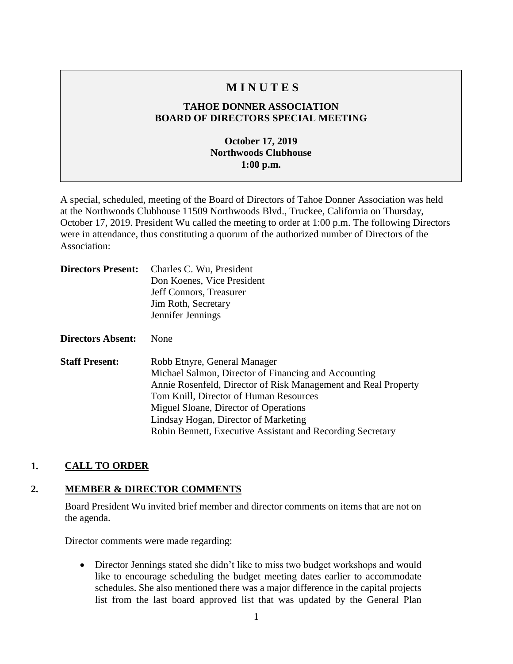# **M I N U T E S**

## **TAHOE DONNER ASSOCIATION BOARD OF DIRECTORS SPECIAL MEETING**

## **October 17, 2019 Northwoods Clubhouse 1:00 p.m.**

A special, scheduled, meeting of the Board of Directors of Tahoe Donner Association was held at the Northwoods Clubhouse 11509 Northwoods Blvd., Truckee, California on Thursday, October 17, 2019. President Wu called the meeting to order at 1:00 p.m. The following Directors were in attendance, thus constituting a quorum of the authorized number of Directors of the Association:

| <b>Directors Present:</b> | Charles C. Wu, President<br>Don Koenes, Vice President<br>Jeff Connors, Treasurer<br>Jim Roth, Secretary<br>Jennifer Jennings                                                                                                                                                                                                                   |
|---------------------------|-------------------------------------------------------------------------------------------------------------------------------------------------------------------------------------------------------------------------------------------------------------------------------------------------------------------------------------------------|
| <b>Directors Absent:</b>  | None                                                                                                                                                                                                                                                                                                                                            |
| <b>Staff Present:</b>     | Robb Etnyre, General Manager<br>Michael Salmon, Director of Financing and Accounting<br>Annie Rosenfeld, Director of Risk Management and Real Property<br>Tom Knill, Director of Human Resources<br>Miguel Sloane, Director of Operations<br>Lindsay Hogan, Director of Marketing<br>Robin Bennett, Executive Assistant and Recording Secretary |

## **1. CALL TO ORDER**

#### **2. MEMBER & DIRECTOR COMMENTS**

Board President Wu invited brief member and director comments on items that are not on the agenda.

Director comments were made regarding:

• Director Jennings stated she didn't like to miss two budget workshops and would like to encourage scheduling the budget meeting dates earlier to accommodate schedules. She also mentioned there was a major difference in the capital projects list from the last board approved list that was updated by the General Plan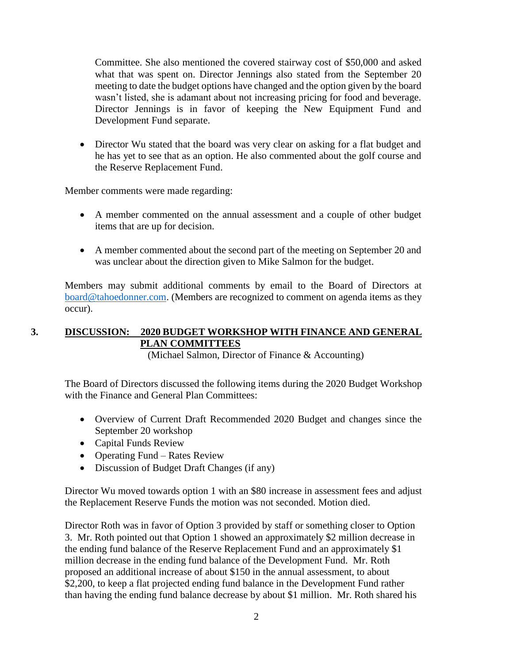Committee. She also mentioned the covered stairway cost of \$50,000 and asked what that was spent on. Director Jennings also stated from the September 20 meeting to date the budget options have changed and the option given by the board wasn't listed, she is adamant about not increasing pricing for food and beverage. Director Jennings is in favor of keeping the New Equipment Fund and Development Fund separate.

• Director Wu stated that the board was very clear on asking for a flat budget and he has yet to see that as an option. He also commented about the golf course and the Reserve Replacement Fund.

Member comments were made regarding:

- A member commented on the annual assessment and a couple of other budget items that are up for decision.
- A member commented about the second part of the meeting on September 20 and was unclear about the direction given to Mike Salmon for the budget.

Members may submit additional comments by email to the Board of Directors at [board@tahoedonner.com.](mailto:board@tahoedonner.com) (Members are recognized to comment on agenda items as they occur).

## **3. DISCUSSION: 2020 BUDGET WORKSHOP WITH FINANCE AND GENERAL PLAN COMMITTEES**

(Michael Salmon, Director of Finance & Accounting)

The Board of Directors discussed the following items during the 2020 Budget Workshop with the Finance and General Plan Committees:

- Overview of Current Draft Recommended 2020 Budget and changes since the September 20 workshop
- Capital Funds Review
- Operating Fund Rates Review
- Discussion of Budget Draft Changes (if any)

Director Wu moved towards option 1 with an \$80 increase in assessment fees and adjust the Replacement Reserve Funds the motion was not seconded. Motion died.

Director Roth was in favor of Option 3 provided by staff or something closer to Option 3. Mr. Roth pointed out that Option 1 showed an approximately \$2 million decrease in the ending fund balance of the Reserve Replacement Fund and an approximately \$1 million decrease in the ending fund balance of the Development Fund. Mr. Roth proposed an additional increase of about \$150 in the annual assessment, to about \$2,200, to keep a flat projected ending fund balance in the Development Fund rather than having the ending fund balance decrease by about \$1 million. Mr. Roth shared his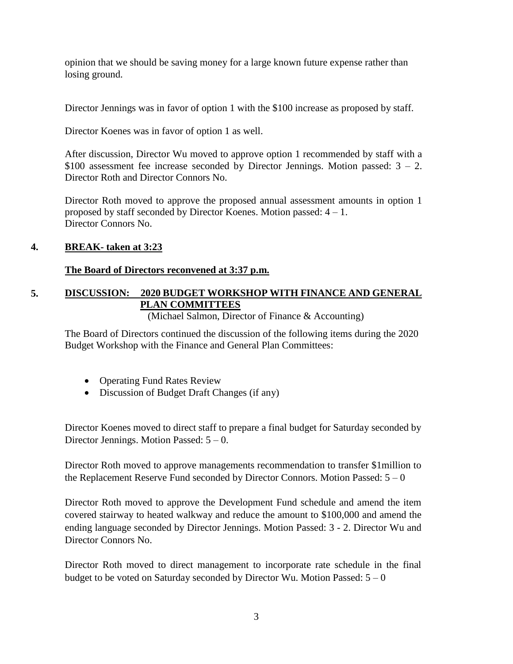opinion that we should be saving money for a large known future expense rather than losing ground.

Director Jennings was in favor of option 1 with the \$100 increase as proposed by staff.

Director Koenes was in favor of option 1 as well.

After discussion, Director Wu moved to approve option 1 recommended by staff with a \$100 assessment fee increase seconded by Director Jennings. Motion passed:  $3 - 2$ . Director Roth and Director Connors No.

Director Roth moved to approve the proposed annual assessment amounts in option 1 proposed by staff seconded by Director Koenes. Motion passed: 4 – 1. Director Connors No.

## **4. BREAK- taken at 3:23**

### **The Board of Directors reconvened at 3:37 p.m.**

# **5. DISCUSSION: 2020 BUDGET WORKSHOP WITH FINANCE AND GENERAL PLAN COMMITTEES**

(Michael Salmon, Director of Finance & Accounting)

The Board of Directors continued the discussion of the following items during the 2020 Budget Workshop with the Finance and General Plan Committees:

- Operating Fund Rates Review
- Discussion of Budget Draft Changes (if any)

Director Koenes moved to direct staff to prepare a final budget for Saturday seconded by Director Jennings. Motion Passed: 5 – 0.

Director Roth moved to approve managements recommendation to transfer \$1million to the Replacement Reserve Fund seconded by Director Connors. Motion Passed:  $5 - 0$ 

Director Roth moved to approve the Development Fund schedule and amend the item covered stairway to heated walkway and reduce the amount to \$100,000 and amend the ending language seconded by Director Jennings. Motion Passed: 3 - 2. Director Wu and Director Connors No.

Director Roth moved to direct management to incorporate rate schedule in the final budget to be voted on Saturday seconded by Director Wu. Motion Passed:  $5 - 0$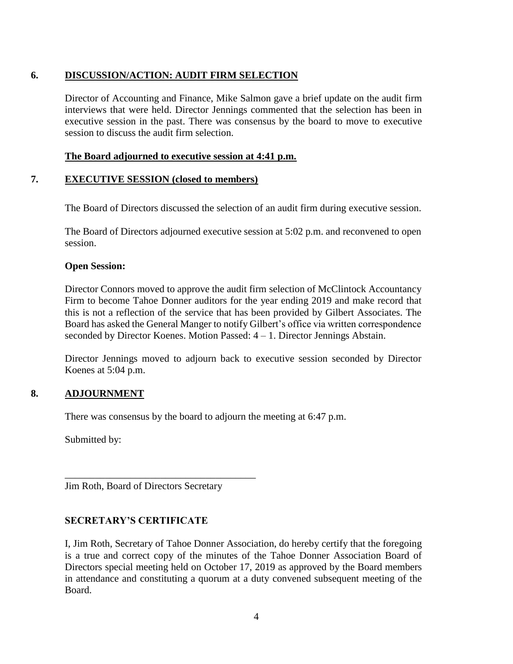## **6. DISCUSSION/ACTION: AUDIT FIRM SELECTION**

Director of Accounting and Finance, Mike Salmon gave a brief update on the audit firm interviews that were held. Director Jennings commented that the selection has been in executive session in the past. There was consensus by the board to move to executive session to discuss the audit firm selection.

#### **The Board adjourned to executive session at 4:41 p.m.**

### **7. EXECUTIVE SESSION (closed to members)**

The Board of Directors discussed the selection of an audit firm during executive session.

The Board of Directors adjourned executive session at 5:02 p.m. and reconvened to open session.

#### **Open Session:**

Director Connors moved to approve the audit firm selection of McClintock Accountancy Firm to become Tahoe Donner auditors for the year ending 2019 and make record that this is not a reflection of the service that has been provided by Gilbert Associates. The Board has asked the General Manger to notify Gilbert's office via written correspondence seconded by Director Koenes. Motion Passed: 4 – 1. Director Jennings Abstain.

Director Jennings moved to adjourn back to executive session seconded by Director Koenes at 5:04 p.m.

## **8. ADJOURNMENT**

There was consensus by the board to adjourn the meeting at 6:47 p.m.

Submitted by:

Jim Roth, Board of Directors Secretary

\_\_\_\_\_\_\_\_\_\_\_\_\_\_\_\_\_\_\_\_\_\_\_\_\_\_\_\_\_\_\_\_\_\_\_\_\_\_

## **SECRETARY'S CERTIFICATE**

I, Jim Roth, Secretary of Tahoe Donner Association, do hereby certify that the foregoing is a true and correct copy of the minutes of the Tahoe Donner Association Board of Directors special meeting held on October 17, 2019 as approved by the Board members in attendance and constituting a quorum at a duty convened subsequent meeting of the Board.